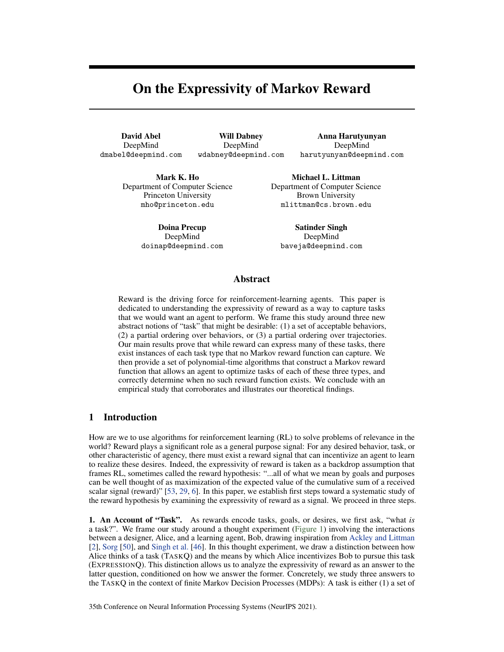# On the Expressivity of Markov Reward

David Abel DeepMind dmabel@deepmind.com

Will Dabney DeepMind wdabney@deepmind.com

Anna Harutyunyan DeepMind harutyunyan@deepmind.com

Mark K. Ho Department of Computer Science Princeton University mho@princeton.edu

> Doina Precup DeepMind doinap@deepmind.com

Michael L. Littman Department of Computer Science Brown University mlittman@cs.brown.edu

Satinder Singh DeepMind baveja@deepmind.com

# Abstract

Reward is the driving force for reinforcement-learning agents. This paper is dedicated to understanding the expressivity of reward as a way to capture tasks that we would want an agent to perform. We frame this study around three new abstract notions of "task" that might be desirable: (1) a set of acceptable behaviors, (2) a partial ordering over behaviors, or (3) a partial ordering over trajectories. Our main results prove that while reward can express many of these tasks, there exist instances of each task type that no Markov reward function can capture. We then provide a set of polynomial-time algorithms that construct a Markov reward function that allows an agent to optimize tasks of each of these three types, and correctly determine when no such reward function exists. We conclude with an empirical study that corroborates and illustrates our theoretical findings.

# 1 Introduction

How are we to use algorithms for reinforcement learning (RL) to solve problems of relevance in the world? Reward plays a significant role as a general purpose signal: For any desired behavior, task, or other characteristic of agency, there must exist a reward signal that can incentivize an agent to learn to realize these desires. Indeed, the expressivity of reward is taken as a backdrop assumption that frames RL, sometimes called the reward hypothesis: "...all of what we mean by goals and purposes can be well thought of as maximization of the expected value of the cumulative sum of a received scalar signal (reward)" [\[53,](#page-12-0) [29,](#page-11-0) [6\]](#page-10-0). In this paper, we establish first steps toward a systematic study of the reward hypothesis by examining the expressivity of reward as a signal. We proceed in three steps.

1. An Account of "Task". As rewards encode tasks, goals, or desires, we first ask, "what *is* a task?". We frame our study around a thought experiment [\(Figure 1\)](#page-1-0) involving the interactions between a designer, Alice, and a learning agent, Bob, drawing inspiration from [Ackley and Littman](#page-10-1) [\[2\]](#page-10-1), [Sorg](#page-12-1) [\[50\]](#page-12-1), and [Singh et al.](#page-12-2) [\[46\]](#page-12-2). In this thought experiment, we draw a distinction between how Alice thinks of a task (TASKQ) and the means by which Alice incentivizes Bob to pursue this task (EXPRESSIONQ). This distinction allows us to analyze the expressivity of reward as an answer to the latter question, conditioned on how we answer the former. Concretely, we study three answers to the TASKQ in the context of finite Markov Decision Processes (MDPs): A task is either (1) a set of

35th Conference on Neural Information Processing Systems (NeurIPS 2021).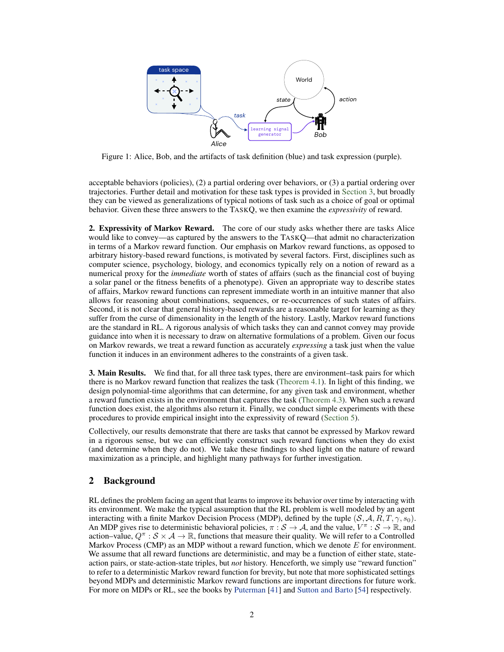<span id="page-1-0"></span>

Figure 1: Alice, Bob, and the artifacts of task definition (blue) and task expression (purple).

acceptable behaviors (policies), (2) a partial ordering over behaviors, or (3) a partial ordering over trajectories. Further detail and motivation for these task types is provided in [Section 3,](#page-3-0) but broadly they can be viewed as generalizations of typical notions of task such as a choice of goal or optimal behavior. Given these three answers to the TASKQ, we then examine the *expressivity* of reward.

2. Expressivity of Markov Reward. The core of our study asks whether there are tasks Alice would like to convey—as captured by the answers to the TASKQ—that admit no characterization in terms of a Markov reward function. Our emphasis on Markov reward functions, as opposed to arbitrary history-based reward functions, is motivated by several factors. First, disciplines such as computer science, psychology, biology, and economics typically rely on a notion of reward as a numerical proxy for the *immediate* worth of states of affairs (such as the financial cost of buying a solar panel or the fitness benefits of a phenotype). Given an appropriate way to describe states of affairs, Markov reward functions can represent immediate worth in an intuitive manner that also allows for reasoning about combinations, sequences, or re-occurrences of such states of affairs. Second, it is not clear that general history-based rewards are a reasonable target for learning as they suffer from the curse of dimensionality in the length of the history. Lastly, Markov reward functions are the standard in RL. A rigorous analysis of which tasks they can and cannot convey may provide guidance into when it is necessary to draw on alternative formulations of a problem. Given our focus on Markov rewards, we treat a reward function as accurately *expressing* a task just when the value function it induces in an environment adheres to the constraints of a given task.

**3. Main Results.** We find that, for all three task types, there are environment–task pairs for which there is no Markov reward function that realizes the task [\(Theorem 4.1\)](#page-5-0). In light of this finding, we design polynomial-time algorithms that can determine, for any given task and environment, whether a reward function exists in the environment that captures the task [\(Theorem 4.3\)](#page-6-0). When such a reward function does exist, the algorithms also return it. Finally, we conduct simple experiments with these procedures to provide empirical insight into the expressivity of reward [\(Section 5\)](#page-7-0).

Collectively, our results demonstrate that there are tasks that cannot be expressed by Markov reward in a rigorous sense, but we can efficiently construct such reward functions when they do exist (and determine when they do not). We take these findings to shed light on the nature of reward maximization as a principle, and highlight many pathways for further investigation.

# 2 Background

RL defines the problem facing an agent that learns to improve its behavior over time by interacting with its environment. We make the typical assumption that the RL problem is well modeled by an agent interacting with a finite Markov Decision Process (MDP), defined by the tuple  $(S, \mathcal{A}, R, T, \gamma, s_0)$ . An MDP gives rise to deterministic behavioral policies,  $\pi : S \to A$ , and the value,  $V^{\pi} : S \to \mathbb{R}$ , and action–value,  $Q^{\pi}: \mathcal{S} \times \mathcal{A} \to \mathbb{R}$ , functions that measure their quality. We will refer to a Controlled Markov Process (CMP) as an MDP without a reward function, which we denote  $E$  for environment. We assume that all reward functions are deterministic, and may be a function of either state, stateaction pairs, or state-action-state triples, but *not* history. Henceforth, we simply use "reward function" to refer to a deterministic Markov reward function for brevity, but note that more sophisticated settings beyond MDPs and deterministic Markov reward functions are important directions for future work. For more on MDPs or RL, see the books by [Puterman](#page-12-3) [\[41\]](#page-12-3) and [Sutton and Barto](#page-12-4) [\[54\]](#page-12-4) respectively.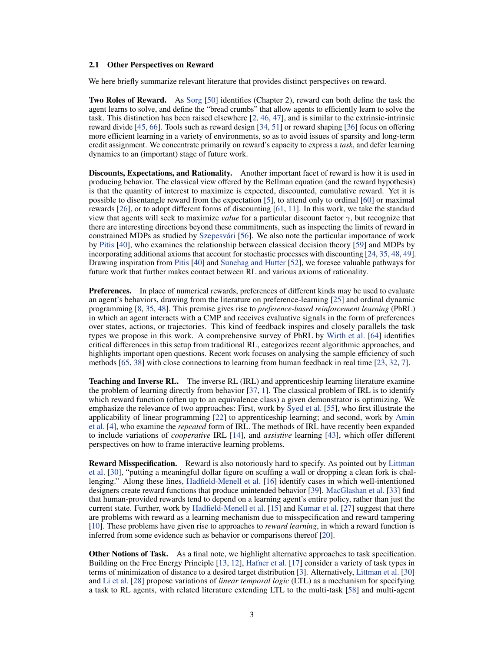#### 2.1 Other Perspectives on Reward

We here briefly summarize relevant literature that provides distinct perspectives on reward.

Two Roles of Reward. As [Sorg](#page-12-1) [\[50\]](#page-12-1) identifies (Chapter 2), reward can both define the task the agent learns to solve, and define the "bread crumbs" that allow agents to efficiently learn to solve the task. This distinction has been raised elsewhere [\[2,](#page-10-1) [46,](#page-12-2) [47\]](#page-12-5), and is similar to the extrinsic-intrinsic reward divide [\[45,](#page-12-6) [66\]](#page-13-0). Tools such as reward design [\[34,](#page-11-1) [51\]](#page-12-7) or reward shaping [\[36\]](#page-11-2) focus on offering more efficient learning in a variety of environments, so as to avoid issues of sparsity and long-term credit assignment. We concentrate primarily on reward's capacity to express a *task*, and defer learning dynamics to an (important) stage of future work.

Discounts, Expectations, and Rationality. Another important facet of reward is how it is used in producing behavior. The classical view offered by the Bellman equation (and the reward hypothesis) is that the quantity of interest to maximize is expected, discounted, cumulative reward. Yet it is possible to disentangle reward from the expectation [\[5\]](#page-10-2), to attend only to ordinal [\[60\]](#page-13-1) or maximal rewards [\[26\]](#page-11-3), or to adopt different forms of discounting [\[61,](#page-13-2) [11\]](#page-10-3). In this work, we take the standard view that agents will seek to maximize *value* for a particular discount factor γ, but recognize that there are interesting directions beyond these commitments, such as inspecting the limits of reward in constrained MDPs as studied by [Szepesvári](#page-12-8) [\[56\]](#page-12-8). We also note the particular importance of work by [Pitis](#page-12-9) [\[40\]](#page-12-9), who examines the relationship between classical decision theory [\[59\]](#page-13-3) and MDPs by incorporating additional axioms that account for stochastic processes with discounting [\[24,](#page-11-4) [35,](#page-11-5) [48,](#page-12-10) [49\]](#page-12-11). Drawing inspiration from [Pitis](#page-12-9) [\[40\]](#page-12-9) and [Sunehag and Hutter](#page-12-12) [\[52\]](#page-12-12), we foresee valuable pathways for future work that further makes contact between RL and various axioms of rationality.

**Preferences.** In place of numerical rewards, preferences of different kinds may be used to evaluate an agent's behaviors, drawing from the literature on preference-learning [\[25\]](#page-11-6) and ordinal dynamic programming [\[8,](#page-10-4) [35,](#page-11-5) [48\]](#page-12-10). This premise gives rise to *preference-based reinforcement learning* (PbRL) in which an agent interacts with a CMP and receives evaluative signals in the form of preferences over states, actions, or trajectories. This kind of feedback inspires and closely parallels the task types we propose in this work. A comprehensive survey of PbRL by [Wirth et al.](#page-13-4) [\[64\]](#page-13-4) identifies critical differences in this setup from traditional RL, categorizes recent algorithmic approaches, and highlights important open questions. Recent work focuses on analysing the sample efficiency of such methods [\[65,](#page-13-5) [38\]](#page-12-13) with close connections to learning from human feedback in real time [\[23,](#page-11-7) [32,](#page-11-8) [7\]](#page-10-5).

**Teaching and Inverse RL.** The inverse RL (IRL) and apprenticeship learning literature examine the problem of learning directly from behavior [\[37,](#page-11-9) [1\]](#page-10-6). The classical problem of IRL is to identify which reward function (often up to an equivalence class) a given demonstrator is optimizing. We emphasize the relevance of two approaches: First, work by [Syed et al.](#page-12-14) [\[55\]](#page-12-14), who first illustrate the applicability of linear programming [\[22\]](#page-11-10) to apprenticeship learning; and second, work by [Amin](#page-10-7) [et al.](#page-10-7) [\[4\]](#page-10-7), who examine the *repeated* form of IRL. The methods of IRL have recently been expanded to include variations of *cooperative* IRL [\[14\]](#page-10-8), and *assistive* learning [\[43\]](#page-12-15), which offer different perspectives on how to frame interactive learning problems.

Reward Misspecification. Reward is also notoriously hard to specify. As pointed out by [Littman](#page-11-11) [et al.](#page-11-11) [\[30\]](#page-11-11), "putting a meaningful dollar figure on scuffing a wall or dropping a clean fork is challenging." Along these lines, [Hadfield-Menell et al.](#page-10-9) [\[16\]](#page-10-9) identify cases in which well-intentioned designers create reward functions that produce unintended behavior [\[39\]](#page-12-16). [MacGlashan et al.](#page-11-12) [\[33\]](#page-11-12) find that human-provided rewards tend to depend on a learning agent's entire policy, rather than just the current state. Further, work by [Hadfield-Menell et al.](#page-10-10) [\[15\]](#page-10-10) and [Kumar et al.](#page-11-13) [\[27\]](#page-11-13) suggest that there are problems with reward as a learning mechanism due to misspecification and reward tampering [\[10\]](#page-10-11). These problems have given rise to approaches to *reward learning*, in which a reward function is inferred from some evidence such as behavior or comparisons thereof [\[20\]](#page-11-14).

Other Notions of Task. As a final note, we highlight alternative approaches to task specification. Building on the Free Energy Principle [\[13,](#page-10-12) [12\]](#page-10-13), [Hafner et al.](#page-10-14) [\[17\]](#page-10-14) consider a variety of task types in terms of minimization of distance to a desired target distribution [\[3\]](#page-10-15). Alternatively, [Littman et al.](#page-11-11) [\[30\]](#page-11-11) and [Li et al.](#page-11-15) [\[28\]](#page-11-15) propose variations of *linear temporal logic* (LTL) as a mechanism for specifying a task to RL agents, with related literature extending LTL to the multi-task [\[58\]](#page-13-6) and multi-agent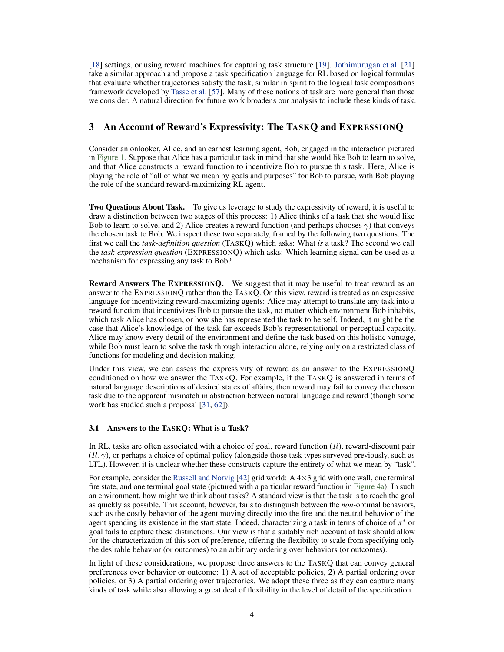[\[18\]](#page-10-16) settings, or using reward machines for capturing task structure [\[19\]](#page-10-17). [Jothimurugan et al.](#page-11-16) [\[21\]](#page-11-16) take a similar approach and propose a task specification language for RL based on logical formulas that evaluate whether trajectories satisfy the task, similar in spirit to the logical task compositions framework developed by [Tasse et al.](#page-12-17) [\[57\]](#page-12-17). Many of these notions of task are more general than those we consider. A natural direction for future work broadens our analysis to include these kinds of task.

# <span id="page-3-0"></span>3 An Account of Reward's Expressivity: The TASKQ and EXPRESSIONQ

Consider an onlooker, Alice, and an earnest learning agent, Bob, engaged in the interaction pictured in [Figure 1.](#page-1-0) Suppose that Alice has a particular task in mind that she would like Bob to learn to solve, and that Alice constructs a reward function to incentivize Bob to pursue this task. Here, Alice is playing the role of "all of what we mean by goals and purposes" for Bob to pursue, with Bob playing the role of the standard reward-maximizing RL agent.

Two Questions About Task. To give us leverage to study the expressivity of reward, it is useful to draw a distinction between two stages of this process: 1) Alice thinks of a task that she would like Bob to learn to solve, and 2) Alice creates a reward function (and perhaps chooses  $\gamma$ ) that conveys the chosen task to Bob. We inspect these two separately, framed by the following two questions. The first we call the *task-definition question* (TASKQ) which asks: What *is* a task? The second we call the *task-expression question* (EXPRESSIONQ) which asks: Which learning signal can be used as a mechanism for expressing any task to Bob?

Reward Answers The EXPRESSIONQ. We suggest that it may be useful to treat reward as an answer to the EXPRESSIONQ rather than the TASKQ. On this view, reward is treated as an expressive language for incentivizing reward-maximizing agents: Alice may attempt to translate any task into a reward function that incentivizes Bob to pursue the task, no matter which environment Bob inhabits, which task Alice has chosen, or how she has represented the task to herself. Indeed, it might be the case that Alice's knowledge of the task far exceeds Bob's representational or perceptual capacity. Alice may know every detail of the environment and define the task based on this holistic vantage, while Bob must learn to solve the task through interaction alone, relying only on a restricted class of functions for modeling and decision making.

Under this view, we can assess the expressivity of reward as an answer to the EXPRESSIONQ conditioned on how we answer the TASKQ. For example, if the TASKQ is answered in terms of natural language descriptions of desired states of affairs, then reward may fail to convey the chosen task due to the apparent mismatch in abstraction between natural language and reward (though some work has studied such a proposal [\[31,](#page-11-17) [62\]](#page-13-7)).

#### 3.1 Answers to the TASKQ: What is a Task?

In RL, tasks are often associated with a choice of goal, reward function  $(R)$ , reward-discount pair  $(R, \gamma)$ , or perhaps a choice of optimal policy (alongside those task types surveyed previously, such as LTL). However, it is unclear whether these constructs capture the entirety of what we mean by "task".

For example, consider the [Russell and Norvig](#page-12-18) [\[42\]](#page-12-18) grid world:  $A \times 3$  grid with one wall, one terminal fire state, and one terminal goal state (pictured with a particular reward function in [Figure 4a\)](#page-9-0). In such an environment, how might we think about tasks? A standard view is that the task is to reach the goal as quickly as possible. This account, however, fails to distinguish between the *non-*optimal behaviors, such as the costly behavior of the agent moving directly into the fire and the neutral behavior of the agent spending its existence in the start state. Indeed, characterizing a task in terms of choice of  $\pi^*$  or goal fails to capture these distinctions. Our view is that a suitably rich account of task should allow for the characterization of this sort of preference, offering the flexibility to scale from specifying only the desirable behavior (or outcomes) to an arbitrary ordering over behaviors (or outcomes).

In light of these considerations, we propose three answers to the TASKQ that can convey general preferences over behavior or outcome: 1) A set of acceptable policies, 2) A partial ordering over policies, or 3) A partial ordering over trajectories. We adopt these three as they can capture many kinds of task while also allowing a great deal of flexibility in the level of detail of the specification.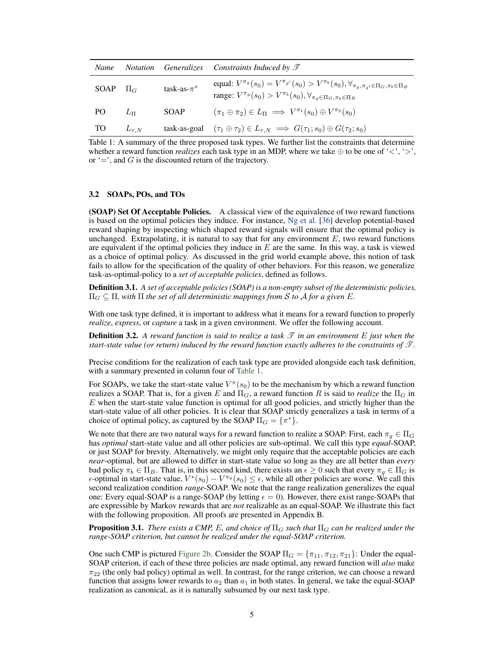<span id="page-4-0"></span>

| Name         |              |                  | Notation Generalizes Constraints Induced by $\mathcal I$                                                                                                                                                   |
|--------------|--------------|------------------|------------------------------------------------------------------------------------------------------------------------------------------------------------------------------------------------------------|
| SOAP $\Pi_G$ |              | task-as- $\pi^*$ | equal: $V^{\pi_g}(s_0) = V^{\pi_{g'}}(s_0) > V^{\pi_b}(s_0), \forall_{\pi_g, \pi_{g'} \in \Pi_G, \pi_b \in \Pi_B}$<br>range: $V^{\pi_g}(s_0) > V^{\pi_b}(s_0), \forall_{\pi_g \in \Pi_G, \pi_b \in \Pi_B}$ |
| PO.          | $L_{\Pi}$    | SOAP             | $(\pi_1 \oplus \pi_2) \in L_{\Pi} \implies V^{\pi_1}(s_0) \oplus V^{\pi_2}(s_0)$                                                                                                                           |
| <b>TO</b>    | $L_{\tau,N}$ |                  | task-as-goal $(\tau_1 \oplus \tau_2) \in L_{\tau,N} \implies G(\tau_1; s_0) \oplus G(\tau_2; s_0)$                                                                                                         |

Table 1: A summary of the three proposed task types. We further list the constraints that determine whether a reward function *realizes* each task type in an MDP, where we take  $\oplus$  to be one of ' $\lt$ ', ' $\gt$ ', or  $\div$ , and G is the discounted return of the trajectory.

### 3.2 SOAPs, POs, and TOs

(SOAP) Set Of Acceptable Policies. A classical view of the equivalence of two reward functions is based on the optimal policies they induce. For instance, [Ng et al.](#page-11-2) [\[36\]](#page-11-2) develop potential-based reward shaping by inspecting which shaped reward signals will ensure that the optimal policy is unchanged. Extrapolating, it is natural to say that for any environment  $E$ , two reward functions are equivalent if the optimal policies they induce in  $E$  are the same. In this way, a task is viewed as a choice of optimal policy. As discussed in the grid world example above, this notion of task fails to allow for the specification of the quality of other behaviors. For this reason, we generalize task-as-optimal-policy to a *set of acceptable policies*, defined as follows.

Definition 3.1. *A set of acceptable policies (SOAP) is a non-empty subset of the deterministic policies,*  $\Pi_G \subseteq \Pi$ , with  $\Pi$  the set of all deterministic mappings from S to A for a given E.

With one task type defined, it is important to address what it means for a reward function to properly *realize*, *express*, or *capture* a task in a given environment. We offer the following account.

**Definition 3.2.** A reward function is said to realize a task  $\mathscr T$  in an environment  $E$  just when the *start-state value (or return) induced by the reward function exactly adheres to the constraints of* T *.*

Precise conditions for the realization of each task type are provided alongside each task definition, with a summary presented in column four of [Table 1.](#page-4-0)

For SOAPs, we take the start-state value  $V^{\pi}(s_0)$  to be the mechanism by which a reward function realizes a SOAP. That is, for a given E and  $\Pi_G$ , a reward function R is said to *realize* the  $\Pi_G$  in  $E$  when the start-state value function is optimal for all good policies, and strictly higher than the start-state value of all other policies. It is clear that SOAP strictly generalizes a task in terms of a choice of optimal policy, as captured by the SOAP  $\Pi_G = \{\pi^*\}.$ 

We note that there are two natural ways for a reward function to realize a SOAP: First, each  $\pi_q \in \Pi_G$ has *optimal* start-state value and all other policies are sub-optimal. We call this type *equal*-SOAP, or just SOAP for brevity. Alternatively, we might only require that the acceptable policies are each *near*-optimal, but are allowed to differ in start-state value so long as they are all better than *every* bad policy  $\pi_b \in \Pi_B$ . That is, in this second kind, there exists an  $\epsilon \geq 0$  such that every  $\pi_g \in \Pi_G$  is  $\epsilon$ -optimal in start-state value,  $V^*(s_0) - V^{\pi_g}(s_0) \leq \epsilon$ , while all other policies are worse. We call this second realization condition *range*-SOAP. We note that the range realization generalizes the equal one: Every equal-SOAP is a range-SOAP (by letting  $\epsilon = 0$ ). However, there exist range-SOAPs that are expressible by Markov rewards that are *not* realizable as an equal-SOAP. We illustrate this fact with the following proposition. All proofs are presented in Appendix B.

<span id="page-4-1"></span>**Proposition 3.1.** *There exists a CMP, E, and choice of*  $\Pi_G$  *such that*  $\Pi_G$  *can be realized under the range-SOAP criterion, but cannot be realized under the equal-SOAP criterion.*

One such CMP is pictured [Figure 2b.](#page-6-1) Consider the SOAP  $\Pi_G = \{\pi_{11}, \pi_{12}, \pi_{21}\}\$ : Under the equal-SOAP criterion, if each of these three policies are made optimal, any reward function will *also* make  $\pi_{22}$  (the only bad policy) optimal as well. In contrast, for the range criterion, we can choose a reward function that assigns lower rewards to  $a_2$  than  $a_1$  in both states. In general, we take the equal-SOAP realization as canonical, as it is naturally subsumed by our next task type.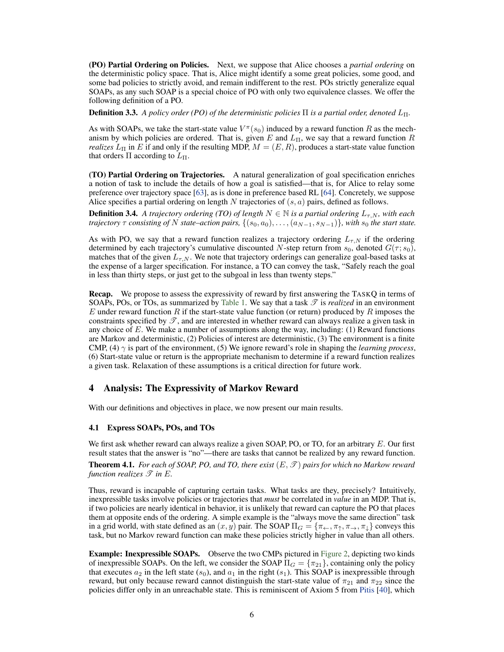(PO) Partial Ordering on Policies. Next, we suppose that Alice chooses a *partial ordering* on the deterministic policy space. That is, Alice might identify a some great policies, some good, and some bad policies to strictly avoid, and remain indifferent to the rest. POs strictly generalize equal SOAPs, as any such SOAP is a special choice of PO with only two equivalence classes. We offer the following definition of a PO.

**Definition 3.3.** *A policy order (PO) of the deterministic policies*  $\Pi$  *is a partial order, denoted*  $L_{\Pi}$ *.* 

As with SOAPs, we take the start-state value  $V^{\pi}(s_0)$  induced by a reward function R as the mechanism by which policies are ordered. That is, given E and  $L_{\text{II}}$ , we say that a reward function R *realizes*  $L_{\Pi}$  in E if and only if the resulting MDP,  $M = (E, R)$ , produces a start-state value function that orders  $\Pi$  according to  $L_{\Pi}$ .

(TO) Partial Ordering on Trajectories. A natural generalization of goal specification enriches a notion of task to include the details of how a goal is satisfied—that is, for Alice to relay some preference over trajectory space [\[63\]](#page-13-8), as is done in preference based RL [\[64\]](#page-13-4). Concretely, we suppose Alice specifies a partial ordering on length N trajectories of  $(s, a)$  pairs, defined as follows.

**Definition 3.4.** *A trajectory ordering (TO) of length*  $N \in \mathbb{N}$  *is a partial ordering*  $L_{\tau,N}$ *, with each trajectory*  $\tau$  *consisting of* N *state–action pairs,*  $\{(s_0, a_0), \ldots, (a_{N-1}, s_{N-1})\}$ *, with*  $s_0$  *the start state.* 

As with PO, we say that a reward function realizes a trajectory ordering  $L_{\tau,N}$  if the ordering determined by each trajectory's cumulative discounted N-step return from  $s_0$ , denoted  $G(\tau; s_0)$ , matches that of the given  $L_{\tau,N}$ . We note that trajectory orderings can generalize goal-based tasks at the expense of a larger specification. For instance, a TO can convey the task, "Safely reach the goal in less than thirty steps, or just get to the subgoal in less than twenty steps."

Recap. We propose to assess the expressivity of reward by first answering the TASKQ in terms of SOAPs, POs, or TOs, as summarized by [Table 1.](#page-4-0) We say that a task  $\mathscr T$  is *realized* in an environment E under reward function R if the start-state value function (or return) produced by R imposes the constraints specified by  $\mathscr{T}$ , and are interested in whether reward can always realize a given task in any choice of  $E$ . We make a number of assumptions along the way, including: (1) Reward functions are Markov and deterministic, (2) Policies of interest are deterministic, (3) The environment is a finite CMP, (4)  $\gamma$  is part of the environment, (5) We ignore reward's role in shaping the *learning process*, (6) Start-state value or return is the appropriate mechanism to determine if a reward function realizes a given task. Relaxation of these assumptions is a critical direction for future work.

## 4 Analysis: The Expressivity of Markov Reward

With our definitions and objectives in place, we now present our main results.

#### 4.1 Express SOAPs, POs, and TOs

We first ask whether reward can always realize a given SOAP, PO, or TO, for an arbitrary  $E$ . Our first result states that the answer is "no"—there are tasks that cannot be realized by any reward function.

<span id="page-5-0"></span>**Theorem 4.1.** For each of SOAP, PO, and TO, there exist  $(E, \mathcal{T})$  pairs for which no Markow reward *function realizes*  $\mathscr T$  *in*  $E$ *.* 

Thus, reward is incapable of capturing certain tasks. What tasks are they, precisely? Intuitively, inexpressible tasks involve policies or trajectories that *must* be correlated in *value* in an MDP. That is, if two policies are nearly identical in behavior, it is unlikely that reward can capture the PO that places them at opposite ends of the ordering. A simple example is the "always move the same direction" task in a grid world, with state defined as an  $(x, y)$  pair. The SOAP  $\Pi_G = \{\pi_{\leftarrow}, \pi_{\uparrow}, \pi_{\rightarrow}, \pi_{\downarrow}\}$  conveys this task, but no Markov reward function can make these policies strictly higher in value than all others.

Example: Inexpressible SOAPs. Observe the two CMPs pictured in [Figure 2,](#page-6-2) depicting two kinds of inexpressible SOAPs. On the left, we consider the SOAP  $\Pi_G = \{\pi_{21}\}\,$  containing only the policy that executes  $a_2$  in the left state  $(s_0)$ , and  $a_1$  in the right  $(s_1)$ . This SOAP is inexpressible through reward, but only because reward cannot distinguish the start-state value of  $\pi_{21}$  and  $\pi_{22}$  since the policies differ only in an unreachable state. This is reminiscent of Axiom 5 from [Pitis](#page-12-9) [\[40\]](#page-12-9), which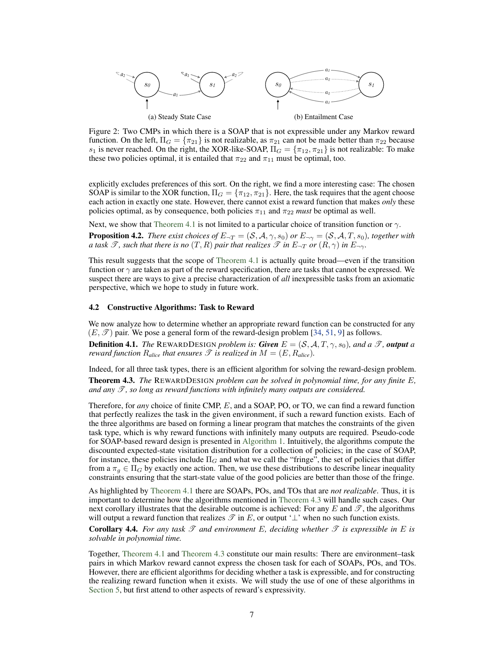<span id="page-6-2"></span>

<span id="page-6-1"></span>Figure 2: Two CMPs in which there is a SOAP that is not expressible under any Markov reward function. On the left,  $\Pi_G = {\pi_{21}}$  is not realizable, as  $\pi_{21}$  can not be made better than  $\pi_{22}$  because  $s_1$  is never reached. On the right, the XOR-like-SOAP,  $\Pi_G = {\pi_{12}, \pi_{21}}$  is not realizable: To make these two policies optimal, it is entailed that  $\pi_{22}$  and  $\pi_{11}$  must be optimal, too.

explicitly excludes preferences of this sort. On the right, we find a more interesting case: The chosen SOAP is similar to the XOR function,  $\Pi_G = \{\pi_{12}, \pi_{21}\}\.$  Here, the task requires that the agent choose each action in exactly one state. However, there cannot exist a reward function that makes *only* these policies optimal, as by consequence, both policies  $\pi_{11}$  and  $\pi_{22}$  *must* be optimal as well.

Next, we show that [Theorem 4.1](#page-5-0) is not limited to a particular choice of transition function or  $\gamma$ .

**Proposition 4.2.** *There exist choices of*  $E_{\neg T} = (\mathcal{S}, \mathcal{A}, \gamma, s_0)$  *or*  $E_{\neg \gamma} = (\mathcal{S}, \mathcal{A}, T, s_0)$ *, together with a* task  $\mathcal{T}$ , such that there is no  $(T, R)$  pair that realizes  $\mathcal{T}$  in  $E_{\neg T}$  or  $(R, \gamma)$  in  $E_{\neg \gamma}$ .

This result suggests that the scope of [Theorem 4.1](#page-5-0) is actually quite broad—even if the transition function or  $\gamma$  are taken as part of the reward specification, there are tasks that cannot be expressed. We suspect there are ways to give a precise characterization of *all* inexpressible tasks from an axiomatic perspective, which we hope to study in future work.

#### 4.2 Constructive Algorithms: Task to Reward

We now analyze how to determine whether an appropriate reward function can be constructed for any  $(E, \mathscr{T})$  pair. We pose a general form of the reward-design problem [\[34,](#page-11-1) [51,](#page-12-7) [9\]](#page-10-18) as follows.

**Definition 4.1.** *The* REWARDDESIGN *problem is: Given*  $E = (S, A, T, \gamma, s_0)$ *, and a*  $\mathcal{T}$ *, output a reward function*  $R_{\text{alice}}$  *that ensures*  $\mathscr T$  *is realized in*  $M = (E, R_{\text{alice}})$ *.* 

<span id="page-6-0"></span>Indeed, for all three task types, there is an efficient algorithm for solving the reward-design problem. Theorem 4.3. *The* REWARDDESIGN *problem can be solved in polynomial time, for any finite* E*,* and any  $\mathscr T$ , so long as reward functions with infinitely many outputs are considered.

Therefore, for *any* choice of finite CMP, E, and a SOAP, PO, or TO, we can find a reward function that perfectly realizes the task in the given environment, if such a reward function exists. Each of the three algorithms are based on forming a linear program that matches the constraints of the given task type, which is why reward functions with infinitely many outputs are required. Pseudo-code for SOAP-based reward design is presented in [Algorithm 1.](#page-7-1) Intuitively, the algorithms compute the discounted expected-state visitation distribution for a collection of policies; in the case of SOAP, for instance, these policies include  $\Pi_G$  and what we call the "fringe", the set of policies that differ from a  $\pi_q \in \Pi_G$  by exactly one action. Then, we use these distributions to describe linear inequality constraints ensuring that the start-state value of the good policies are better than those of the fringe.

As highlighted by [Theorem 4.1](#page-5-0) there are SOAPs, POs, and TOs that are *not realizable*. Thus, it is important to determine how the algorithms mentioned in [Theorem 4.3](#page-6-0) will handle such cases. Our next corollary illustrates that the desirable outcome is achieved: For any E and  $\mathscr{T}$ , the algorithms will output a reward function that realizes  $\mathcal{T}$  in E, or output ' $\perp$ ' when no such function exists.

**Corollary 4.4.** For any task  $\mathscr T$  and environment E, deciding whether  $\mathscr T$  is expressible in E is *solvable in polynomial time.*

Together, [Theorem 4.1](#page-5-0) and [Theorem 4.3](#page-6-0) constitute our main results: There are environment–task pairs in which Markov reward cannot express the chosen task for each of SOAPs, POs, and TOs. However, there are efficient algorithms for deciding whether a task is expressible, and for constructing the realizing reward function when it exists. We will study the use of one of these algorithms in [Section 5,](#page-7-0) but first attend to other aspects of reward's expressivity.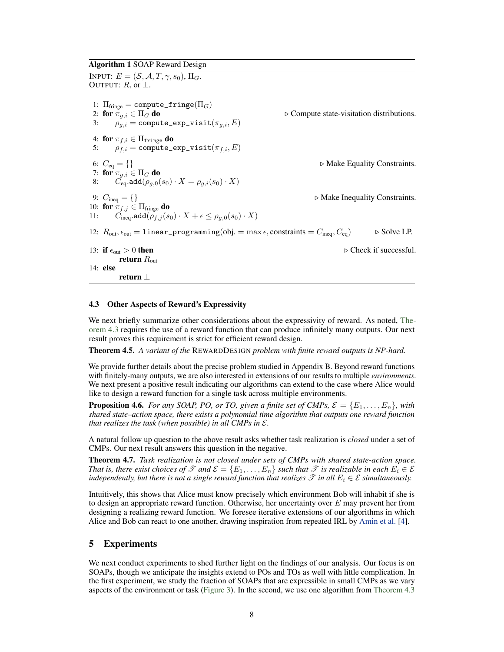#### <span id="page-7-1"></span>Algorithm 1 SOAP Reward Design

INPUT:  $E = (\mathcal{S}, \mathcal{A}, T, \gamma, s_0), \Pi_G$ . OUTPUT:  $R$ , or  $\perp$ . 1:  $\Pi_{\text{fringe}} = \text{compute\_fringe}(\Pi_G)$ <br>2: for  $\pi_{q,i} \in \Pi_G$  do ⊵ Compute state-visitation distributions. 3:  $\rho_{a,i} = \text{compute\_exp\_visit}(\pi_{a,i}, E)$ 4: for  $\pi_{f,i} \in \Pi_{\texttt{fringe}}$  do 5:  $\rho_{f,i} = \text{compute\_exp\_visit}(\pi_{f,i}, E)$ 6:  $C_{\text{eq}} = \{\}$   $\triangleright$  Make Equality Constraints. 7: for  $\pi_{g,i}\in \Pi_G$  do 8:  $\ddot{C}_{\text{eq}}$ .add $(\rho_{g,0}(s_0)\cdot X = \rho_{g,i}(s_0)\cdot X)$ 9:  $C_{\text{ineq}} = \{\}$   $\triangleright$  Make Inequality Constraints. 10: for  $\pi_{f,j} \in \Pi_{\text{fringe}}$  do 11:  $C_{\text{ineq}}.\text{add}(\rho_{f,j}(s_0)\cdot X + \epsilon \leq \rho_{g,0}(s_0)\cdot X)$ 12:  $R_{\text{out}}$ ,  $\epsilon_{\text{out}} = 1$  inear\_programming(obj. = max  $\epsilon$ , constraints =  $C_{\text{ineq}}$ ,  $C_{\text{eq}}$ )  $\Rightarrow$  Solve LP. 13: if  $\epsilon_{\text{out}} > 0$  then  $\epsilon$  check if successful. return  $R_{\text{out}}$ 14: else return ⊥

#### 4.3 Other Aspects of Reward's Expressivity

We next briefly summarize other considerations about the expressivity of reward. As noted, [The](#page-6-0)[orem 4.3](#page-6-0) requires the use of a reward function that can produce infinitely many outputs. Our next result proves this requirement is strict for efficient reward design.

Theorem 4.5. *A variant of the* REWARDDESIGN *problem with finite reward outputs is NP-hard.*

We provide further details about the precise problem studied in Appendix B. Beyond reward functions with finitely-many outputs, we are also interested in extensions of our results to multiple *environments*. We next present a positive result indicating our algorithms can extend to the case where Alice would like to design a reward function for a single task across multiple environments.

**Proposition 4.6.** *For any SOAP, PO, or TO, given a finite set of CMPs,*  $\mathcal{E} = \{E_1, \ldots, E_n\}$ , with *shared state–action space, there exists a polynomial time algorithm that outputs one reward function that realizes the task (when possible) in all CMPs in* E*.*

A natural follow up question to the above result asks whether task realization is *closed* under a set of CMPs. Our next result answers this question in the negative.

Theorem 4.7. *Task realization is not closed under sets of CMPs with shared state-action space. That is, there exist choices of*  $\mathscr T$  *and*  $\mathcal E = \{E_1,\ldots,E_n\}$  *such that*  $\mathscr T$  *is realizable in each*  $E_i \in \mathcal E$ *independently, but there is not a single reward function that realizes*  $\mathscr T$  *in all*  $E_i \in \mathscr E$  *simultaneously.* 

Intuitively, this shows that Alice must know precisely which environment Bob will inhabit if she is to design an appropriate reward function. Otherwise, her uncertainty over  $E$  may prevent her from designing a realizing reward function. We foresee iterative extensions of our algorithms in which Alice and Bob can react to one another, drawing inspiration from repeated IRL by [Amin et al.](#page-10-7) [\[4\]](#page-10-7).

## <span id="page-7-0"></span>5 Experiments

We next conduct experiments to shed further light on the findings of our analysis. Our focus is on SOAPs, though we anticipate the insights extend to POs and TOs as well with little complication. In the first experiment, we study the fraction of SOAPs that are expressible in small CMPs as we vary aspects of the environment or task [\(Figure 3\)](#page-8-0). In the second, we use one algorithm from [Theorem 4.3](#page-6-0)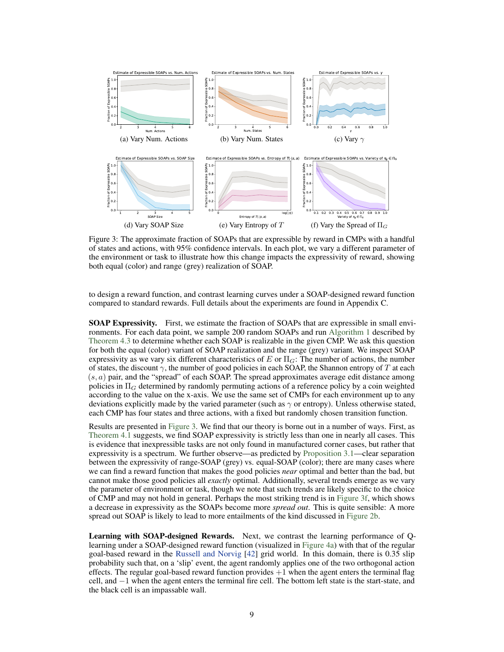<span id="page-8-0"></span>

<span id="page-8-1"></span>Figure 3: The approximate fraction of SOAPs that are expressible by reward in CMPs with a handful of states and actions, with 95% confidence intervals. In each plot, we vary a different parameter of the environment or task to illustrate how this change impacts the expressivity of reward, showing both equal (color) and range (grey) realization of SOAP.

to design a reward function, and contrast learning curves under a SOAP-designed reward function compared to standard rewards. Full details about the experiments are found in Appendix C.

SOAP Expressivity. First, we estimate the fraction of SOAPs that are expressible in small environments. For each data point, we sample 200 random SOAPs and run [Algorithm 1](#page-7-1) described by [Theorem 4.3](#page-6-0) to determine whether each SOAP is realizable in the given CMP. We ask this question for both the equal (color) variant of SOAP realization and the range (grey) variant. We inspect SOAP expressivity as we vary six different characteristics of E or  $\Pi_G$ : The number of actions, the number of states, the discount  $\gamma$ , the number of good policies in each SOAP, the Shannon entropy of T at each  $(s, a)$  pair, and the "spread" of each SOAP. The spread approximates average edit distance among policies in  $\Pi_G$  determined by randomly permuting actions of a reference policy by a coin weighted according to the value on the x-axis. We use the same set of CMPs for each environment up to any deviations explicitly made by the varied parameter (such as  $\gamma$  or entropy). Unless otherwise stated, each CMP has four states and three actions, with a fixed but randomly chosen transition function.

Results are presented in [Figure 3.](#page-8-0) We find that our theory is borne out in a number of ways. First, as [Theorem 4.1](#page-5-0) suggests, we find SOAP expressivity is strictly less than one in nearly all cases. This is evidence that inexpressible tasks are not only found in manufactured corner cases, but rather that expressivity is a spectrum. We further observe—as predicted by [Proposition 3.1—](#page-4-1)clear separation between the expressivity of range-SOAP (grey) vs. equal-SOAP (color); there are many cases where we can find a reward function that makes the good policies *near* optimal and better than the bad, but cannot make those good policies all *exactly* optimal. Additionally, several trends emerge as we vary the parameter of environment or task, though we note that such trends are likely specific to the choice of CMP and may not hold in general. Perhaps the most striking trend is in [Figure 3f,](#page-8-1) which shows a decrease in expressivity as the SOAPs become more *spread out*. This is quite sensible: A more spread out SOAP is likely to lead to more entailments of the kind discussed in [Figure 2b.](#page-6-1)

Learning with SOAP-designed Rewards. Next, we contrast the learning performance of Qlearning under a SOAP-designed reward function (visualized in [Figure 4a\)](#page-9-0) with that of the regular goal-based reward in the [Russell and Norvig](#page-12-18) [\[42\]](#page-12-18) grid world. In this domain, there is 0.35 slip probability such that, on a 'slip' event, the agent randomly applies one of the two orthogonal action effects. The regular goal-based reward function provides  $+1$  when the agent enters the terminal flag cell, and −1 when the agent enters the terminal fire cell. The bottom left state is the start-state, and the black cell is an impassable wall.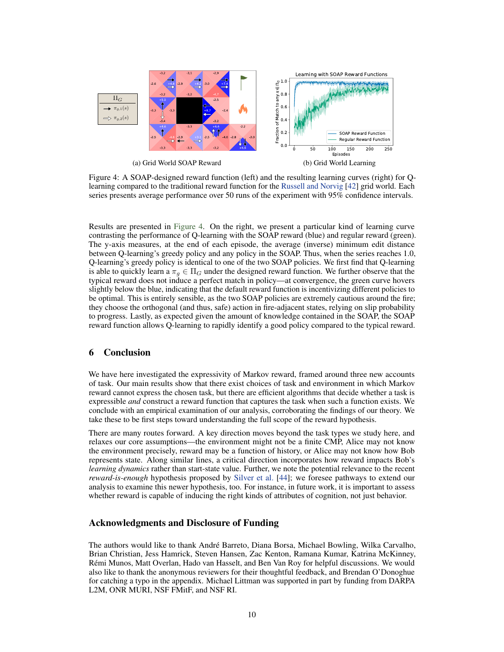<span id="page-9-1"></span><span id="page-9-0"></span>

Figure 4: A SOAP-designed reward function (left) and the resulting learning curves (right) for Qlearning compared to the traditional reward function for the [Russell and Norvig](#page-12-18) [\[42\]](#page-12-18) grid world. Each series presents average performance over 50 runs of the experiment with 95% confidence intervals.

Results are presented in [Figure 4.](#page-9-1) On the right, we present a particular kind of learning curve contrasting the performance of Q-learning with the SOAP reward (blue) and regular reward (green). The y-axis measures, at the end of each episode, the average (inverse) minimum edit distance between Q-learning's greedy policy and any policy in the SOAP. Thus, when the series reaches 1.0, Q-learning's greedy policy is identical to one of the two SOAP policies. We first find that Q-learning is able to quickly learn a  $\pi_q \in \Pi_G$  under the designed reward function. We further observe that the typical reward does not induce a perfect match in policy—at convergence, the green curve hovers slightly below the blue, indicating that the default reward function is incentivizing different policies to be optimal. This is entirely sensible, as the two SOAP policies are extremely cautious around the fire; they choose the orthogonal (and thus, safe) action in fire-adjacent states, relying on slip probability to progress. Lastly, as expected given the amount of knowledge contained in the SOAP, the SOAP reward function allows Q-learning to rapidly identify a good policy compared to the typical reward.

# 6 Conclusion

We have here investigated the expressivity of Markov reward, framed around three new accounts of task. Our main results show that there exist choices of task and environment in which Markov reward cannot express the chosen task, but there are efficient algorithms that decide whether a task is expressible *and* construct a reward function that captures the task when such a function exists. We conclude with an empirical examination of our analysis, corroborating the findings of our theory. We take these to be first steps toward understanding the full scope of the reward hypothesis.

There are many routes forward. A key direction moves beyond the task types we study here, and relaxes our core assumptions—the environment might not be a finite CMP, Alice may not know the environment precisely, reward may be a function of history, or Alice may not know how Bob represents state. Along similar lines, a critical direction incorporates how reward impacts Bob's *learning dynamics* rather than start-state value. Further, we note the potential relevance to the recent *reward-is-enough* hypothesis proposed by [Silver et al.](#page-12-19) [\[44\]](#page-12-19); we foresee pathways to extend our analysis to examine this newer hypothesis, too. For instance, in future work, it is important to assess whether reward is capable of inducing the right kinds of attributes of cognition, not just behavior.

## Acknowledgments and Disclosure of Funding

The authors would like to thank André Barreto, Diana Borsa, Michael Bowling, Wilka Carvalho, Brian Christian, Jess Hamrick, Steven Hansen, Zac Kenton, Ramana Kumar, Katrina McKinney, Rémi Munos, Matt Overlan, Hado van Hasselt, and Ben Van Roy for helpful discussions. We would also like to thank the anonymous reviewers for their thoughtful feedback, and Brendan O'Donoghue for catching a typo in the appendix. Michael Littman was supported in part by funding from DARPA L2M, ONR MURI, NSF FMitF, and NSF RI.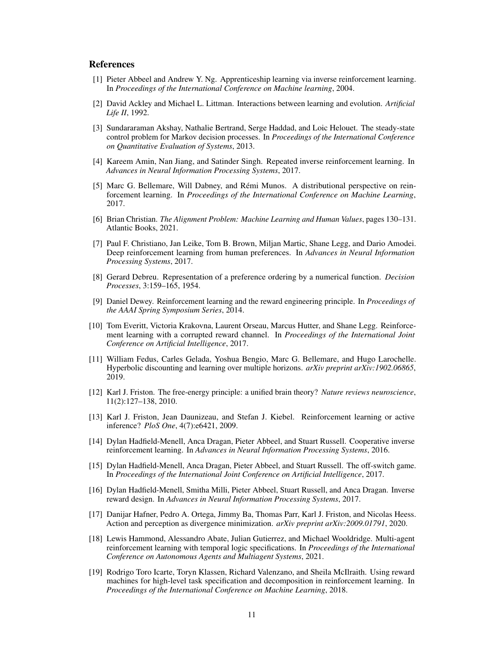## References

- <span id="page-10-6"></span>[1] Pieter Abbeel and Andrew Y. Ng. Apprenticeship learning via inverse reinforcement learning. In *Proceedings of the International Conference on Machine learning*, 2004.
- <span id="page-10-1"></span>[2] David Ackley and Michael L. Littman. Interactions between learning and evolution. *Artificial Life II*, 1992.
- <span id="page-10-15"></span>[3] Sundararaman Akshay, Nathalie Bertrand, Serge Haddad, and Loic Helouet. The steady-state control problem for Markov decision processes. In *Proceedings of the International Conference on Quantitative Evaluation of Systems*, 2013.
- <span id="page-10-7"></span>[4] Kareem Amin, Nan Jiang, and Satinder Singh. Repeated inverse reinforcement learning. In *Advances in Neural Information Processing Systems*, 2017.
- <span id="page-10-2"></span>[5] Marc G. Bellemare, Will Dabney, and Rémi Munos. A distributional perspective on reinforcement learning. In *Proceedings of the International Conference on Machine Learning*, 2017.
- <span id="page-10-0"></span>[6] Brian Christian. *The Alignment Problem: Machine Learning and Human Values*, pages 130–131. Atlantic Books, 2021.
- <span id="page-10-5"></span>[7] Paul F. Christiano, Jan Leike, Tom B. Brown, Miljan Martic, Shane Legg, and Dario Amodei. Deep reinforcement learning from human preferences. In *Advances in Neural Information Processing Systems*, 2017.
- <span id="page-10-4"></span>[8] Gerard Debreu. Representation of a preference ordering by a numerical function. *Decision Processes*, 3:159–165, 1954.
- <span id="page-10-18"></span>[9] Daniel Dewey. Reinforcement learning and the reward engineering principle. In *Proceedings of the AAAI Spring Symposium Series*, 2014.
- <span id="page-10-11"></span>[10] Tom Everitt, Victoria Krakovna, Laurent Orseau, Marcus Hutter, and Shane Legg. Reinforcement learning with a corrupted reward channel. In *Proceedings of the International Joint Conference on Artificial Intelligence*, 2017.
- <span id="page-10-3"></span>[11] William Fedus, Carles Gelada, Yoshua Bengio, Marc G. Bellemare, and Hugo Larochelle. Hyperbolic discounting and learning over multiple horizons. *arXiv preprint arXiv:1902.06865*, 2019.
- <span id="page-10-13"></span>[12] Karl J. Friston. The free-energy principle: a unified brain theory? *Nature reviews neuroscience*, 11(2):127–138, 2010.
- <span id="page-10-12"></span>[13] Karl J. Friston, Jean Daunizeau, and Stefan J. Kiebel. Reinforcement learning or active inference? *PloS One*, 4(7):e6421, 2009.
- <span id="page-10-8"></span>[14] Dylan Hadfield-Menell, Anca Dragan, Pieter Abbeel, and Stuart Russell. Cooperative inverse reinforcement learning. In *Advances in Neural Information Processing Systems*, 2016.
- <span id="page-10-10"></span>[15] Dylan Hadfield-Menell, Anca Dragan, Pieter Abbeel, and Stuart Russell. The off-switch game. In *Proceedings of the International Joint Conference on Artificial Intelligence*, 2017.
- <span id="page-10-9"></span>[16] Dylan Hadfield-Menell, Smitha Milli, Pieter Abbeel, Stuart Russell, and Anca Dragan. Inverse reward design. In *Advances in Neural Information Processing Systems*, 2017.
- <span id="page-10-14"></span>[17] Danijar Hafner, Pedro A. Ortega, Jimmy Ba, Thomas Parr, Karl J. Friston, and Nicolas Heess. Action and perception as divergence minimization. *arXiv preprint arXiv:2009.01791*, 2020.
- <span id="page-10-16"></span>[18] Lewis Hammond, Alessandro Abate, Julian Gutierrez, and Michael Wooldridge. Multi-agent reinforcement learning with temporal logic specifications. In *Proceedings of the International Conference on Autonomous Agents and Multiagent Systems*, 2021.
- <span id="page-10-17"></span>[19] Rodrigo Toro Icarte, Toryn Klassen, Richard Valenzano, and Sheila McIlraith. Using reward machines for high-level task specification and decomposition in reinforcement learning. In *Proceedings of the International Conference on Machine Learning*, 2018.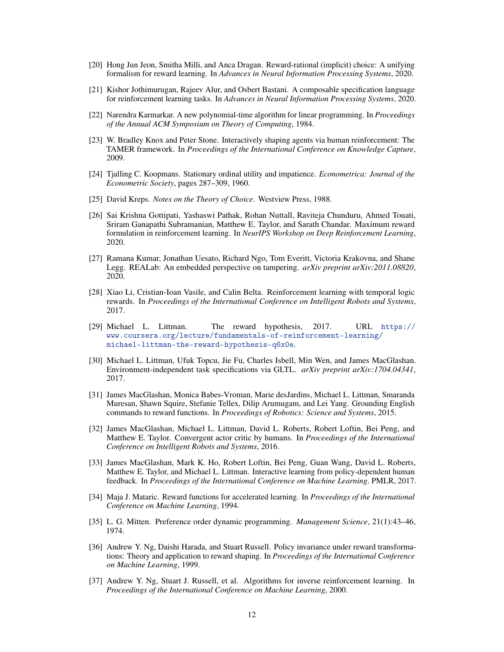- <span id="page-11-14"></span>[20] Hong Jun Jeon, Smitha Milli, and Anca Dragan. Reward-rational (implicit) choice: A unifying formalism for reward learning. In *Advances in Neural Information Processing Systems*, 2020.
- <span id="page-11-16"></span>[21] Kishor Jothimurugan, Rajeev Alur, and Osbert Bastani. A composable specification language for reinforcement learning tasks. In *Advances in Neural Information Processing Systems*, 2020.
- <span id="page-11-10"></span>[22] Narendra Karmarkar. A new polynomial-time algorithm for linear programming. In *Proceedings of the Annual ACM Symposium on Theory of Computing*, 1984.
- <span id="page-11-7"></span>[23] W. Bradley Knox and Peter Stone. Interactively shaping agents via human reinforcement: The TAMER framework. In *Proceedings of the International Conference on Knowledge Capture*, 2009.
- <span id="page-11-4"></span>[24] Tjalling C. Koopmans. Stationary ordinal utility and impatience. *Econometrica: Journal of the Econometric Society*, pages 287–309, 1960.
- <span id="page-11-6"></span>[25] David Kreps. *Notes on the Theory of Choice*. Westview Press, 1988.
- <span id="page-11-3"></span>[26] Sai Krishna Gottipati, Yashaswi Pathak, Rohan Nuttall, Raviteja Chunduru, Ahmed Touati, Sriram Ganapathi Subramanian, Matthew E. Taylor, and Sarath Chandar. Maximum reward formulation in reinforcement learning. In *NeurIPS Workshop on Deep Reinforcement Learning*, 2020.
- <span id="page-11-13"></span>[27] Ramana Kumar, Jonathan Uesato, Richard Ngo, Tom Everitt, Victoria Krakovna, and Shane Legg. REALab: An embedded perspective on tampering. *arXiv preprint arXiv:2011.08820*, 2020.
- <span id="page-11-15"></span>[28] Xiao Li, Cristian-Ioan Vasile, and Calin Belta. Reinforcement learning with temporal logic rewards. In *Proceedings of the International Conference on Intelligent Robots and Systems*, 2017.
- <span id="page-11-0"></span>[29] Michael L. Littman. The reward hypothesis, 2017. URL [https://](https://www.coursera.org/lecture/fundamentals-of-reinforcement-learning/michael-littman-the-reward-hypothesis-q6x0e) [www.coursera.org/lecture/fundamentals-of-reinforcement-learning/](https://www.coursera.org/lecture/fundamentals-of-reinforcement-learning/michael-littman-the-reward-hypothesis-q6x0e) [michael-littman-the-reward-hypothesis-q6x0e](https://www.coursera.org/lecture/fundamentals-of-reinforcement-learning/michael-littman-the-reward-hypothesis-q6x0e).
- <span id="page-11-11"></span>[30] Michael L. Littman, Ufuk Topcu, Jie Fu, Charles Isbell, Min Wen, and James MacGlashan. Environment-independent task specifications via GLTL. *arXiv preprint arXiv:1704.04341*, 2017.
- <span id="page-11-17"></span>[31] James MacGlashan, Monica Babes-Vroman, Marie desJardins, Michael L. Littman, Smaranda Muresan, Shawn Squire, Stefanie Tellex, Dilip Arumugam, and Lei Yang. Grounding English commands to reward functions. In *Proceedings of Robotics: Science and Systems*, 2015.
- <span id="page-11-8"></span>[32] James MacGlashan, Michael L. Littman, David L. Roberts, Robert Loftin, Bei Peng, and Matthew E. Taylor. Convergent actor critic by humans. In *Proceedings of the International Conference on Intelligent Robots and Systems*, 2016.
- <span id="page-11-12"></span>[33] James MacGlashan, Mark K. Ho, Robert Loftin, Bei Peng, Guan Wang, David L. Roberts, Matthew E. Taylor, and Michael L. Littman. Interactive learning from policy-dependent human feedback. In *Proceedings of the International Conference on Machine Learning*. PMLR, 2017.
- <span id="page-11-1"></span>[34] Maja J. Mataric. Reward functions for accelerated learning. In *Proceedings of the International Conference on Machine Learning*, 1994.
- <span id="page-11-5"></span>[35] L. G. Mitten. Preference order dynamic programming. *Management Science*, 21(1):43–46, 1974.
- <span id="page-11-2"></span>[36] Andrew Y. Ng, Daishi Harada, and Stuart Russell. Policy invariance under reward transformations: Theory and application to reward shaping. In *Proceedings of the International Conference on Machine Learning*, 1999.
- <span id="page-11-9"></span>[37] Andrew Y. Ng, Stuart J. Russell, et al. Algorithms for inverse reinforcement learning. In *Proceedings of the International Conference on Machine Learning*, 2000.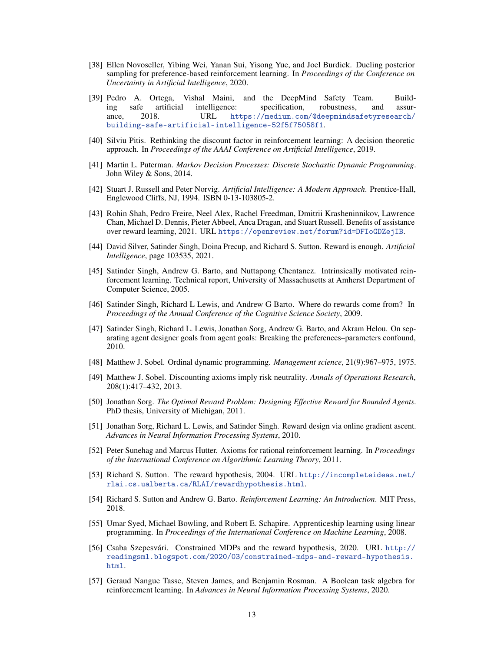- <span id="page-12-13"></span>[38] Ellen Novoseller, Yibing Wei, Yanan Sui, Yisong Yue, and Joel Burdick. Dueling posterior sampling for preference-based reinforcement learning. In *Proceedings of the Conference on Uncertainty in Artificial Intelligence*, 2020.
- <span id="page-12-16"></span>[39] Pedro A. Ortega, Vishal Maini, and the DeepMind Safety Team. Building safe artificial intelligence: specification, robustness, and assurance, 2018. URL [https://medium.com/@deepmindsafetyresearch/](https://medium.com/@deepmindsafetyresearch/building-safe-artificial-intelligence-52f5f75058f1) [building-safe-artificial-intelligence-52f5f75058f1](https://medium.com/@deepmindsafetyresearch/building-safe-artificial-intelligence-52f5f75058f1).
- <span id="page-12-9"></span>[40] Silviu Pitis. Rethinking the discount factor in reinforcement learning: A decision theoretic approach. In *Proceedings of the AAAI Conference on Artificial Intelligence*, 2019.
- <span id="page-12-3"></span>[41] Martin L. Puterman. *Markov Decision Processes: Discrete Stochastic Dynamic Programming*. John Wiley & Sons, 2014.
- <span id="page-12-18"></span>[42] Stuart J. Russell and Peter Norvig. *Artificial Intelligence: A Modern Approach*. Prentice-Hall, Englewood Cliffs, NJ, 1994. ISBN 0-13-103805-2.
- <span id="page-12-15"></span>[43] Rohin Shah, Pedro Freire, Neel Alex, Rachel Freedman, Dmitrii Krasheninnikov, Lawrence Chan, Michael D. Dennis, Pieter Abbeel, Anca Dragan, and Stuart Russell. Benefits of assistance over reward learning, 2021. URL <https://openreview.net/forum?id=DFIoGDZejIB>.
- <span id="page-12-19"></span>[44] David Silver, Satinder Singh, Doina Precup, and Richard S. Sutton. Reward is enough. *Artificial Intelligence*, page 103535, 2021.
- <span id="page-12-6"></span>[45] Satinder Singh, Andrew G. Barto, and Nuttapong Chentanez. Intrinsically motivated reinforcement learning. Technical report, University of Massachusetts at Amherst Department of Computer Science, 2005.
- <span id="page-12-2"></span>[46] Satinder Singh, Richard L Lewis, and Andrew G Barto. Where do rewards come from? In *Proceedings of the Annual Conference of the Cognitive Science Society*, 2009.
- <span id="page-12-5"></span>[47] Satinder Singh, Richard L. Lewis, Jonathan Sorg, Andrew G. Barto, and Akram Helou. On separating agent designer goals from agent goals: Breaking the preferences–parameters confound, 2010.
- <span id="page-12-10"></span>[48] Matthew J. Sobel. Ordinal dynamic programming. *Management science*, 21(9):967–975, 1975.
- <span id="page-12-11"></span>[49] Matthew J. Sobel. Discounting axioms imply risk neutrality. *Annals of Operations Research*, 208(1):417–432, 2013.
- <span id="page-12-1"></span>[50] Jonathan Sorg. *The Optimal Reward Problem: Designing Effective Reward for Bounded Agents*. PhD thesis, University of Michigan, 2011.
- <span id="page-12-7"></span>[51] Jonathan Sorg, Richard L. Lewis, and Satinder Singh. Reward design via online gradient ascent. *Advances in Neural Information Processing Systems*, 2010.
- <span id="page-12-12"></span>[52] Peter Sunehag and Marcus Hutter. Axioms for rational reinforcement learning. In *Proceedings of the International Conference on Algorithmic Learning Theory*, 2011.
- <span id="page-12-0"></span>[53] Richard S. Sutton. The reward hypothesis, 2004. URL [http://incompleteideas.net/](http://incompleteideas.net/rlai.cs.ualberta.ca/RLAI/rewardhypothesis.html) [rlai.cs.ualberta.ca/RLAI/rewardhypothesis.html](http://incompleteideas.net/rlai.cs.ualberta.ca/RLAI/rewardhypothesis.html).
- <span id="page-12-4"></span>[54] Richard S. Sutton and Andrew G. Barto. *Reinforcement Learning: An Introduction*. MIT Press, 2018.
- <span id="page-12-14"></span>[55] Umar Syed, Michael Bowling, and Robert E. Schapire. Apprenticeship learning using linear programming. In *Proceedings of the International Conference on Machine Learning*, 2008.
- <span id="page-12-8"></span>[56] Csaba Szepesvári. Constrained MDPs and the reward hypothesis, 2020. URL [http://](http://readingsml.blogspot.com/2020/03/constrained-mdps-and-reward-hypothesis.html) [readingsml.blogspot.com/2020/03/constrained-mdps-and-reward-hypothesis.](http://readingsml.blogspot.com/2020/03/constrained-mdps-and-reward-hypothesis.html) [html](http://readingsml.blogspot.com/2020/03/constrained-mdps-and-reward-hypothesis.html).
- <span id="page-12-17"></span>[57] Geraud Nangue Tasse, Steven James, and Benjamin Rosman. A Boolean task algebra for reinforcement learning. In *Advances in Neural Information Processing Systems*, 2020.